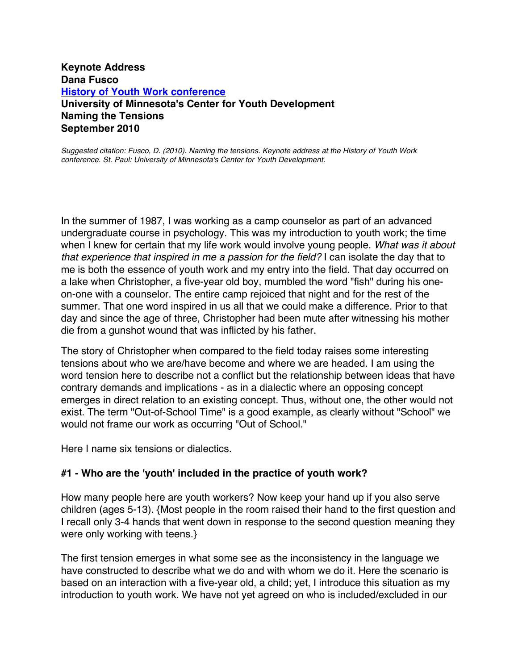## **Keynote Address Dana Fusco History of Youth Work conference University of Minnesota's Center for Youth Development Naming the Tensions September 2010**

*Suggested citation: Fusco, D. (2010). Naming the tensions. Keynote address at the History of Youth Work conference. St. Paul: University of Minnesota's Center for Youth Development.*

In the summer of 1987, I was working as a camp counselor as part of an advanced undergraduate course in psychology. This was my introduction to youth work; the time when I knew for certain that my life work would involve young people. *What was it about that experience that inspired in me a passion for the field?* I can isolate the day that to me is both the essence of youth work and my entry into the field. That day occurred on a lake when Christopher, a five-year old boy, mumbled the word "fish" during his oneon-one with a counselor. The entire camp rejoiced that night and for the rest of the summer. That one word inspired in us all that we could make a difference. Prior to that day and since the age of three, Christopher had been mute after witnessing his mother die from a gunshot wound that was inflicted by his father.

The story of Christopher when compared to the field today raises some interesting tensions about who we are/have become and where we are headed. I am using the word tension here to describe not a conflict but the relationship between ideas that have contrary demands and implications - as in a dialectic where an opposing concept emerges in direct relation to an existing concept. Thus, without one, the other would not exist. The term "Out-of-School Time" is a good example, as clearly without "School" we would not frame our work as occurring "Out of School."

Here I name six tensions or dialectics.

#### **#1 - Who are the 'youth' included in the practice of youth work?**

How many people here are youth workers? Now keep your hand up if you also serve children (ages 5-13). {Most people in the room raised their hand to the first question and I recall only 3-4 hands that went down in response to the second question meaning they were only working with teens.}

The first tension emerges in what some see as the inconsistency in the language we have constructed to describe what we do and with whom we do it. Here the scenario is based on an interaction with a five-year old, a child; yet, I introduce this situation as my introduction to youth work. We have not yet agreed on who is included/excluded in our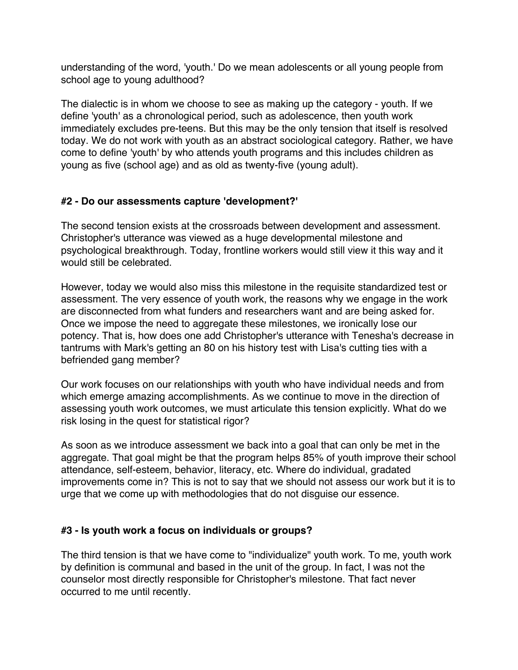understanding of the word, 'youth.' Do we mean adolescents or all young people from school age to young adulthood?

The dialectic is in whom we choose to see as making up the category - youth. If we define 'youth' as a chronological period, such as adolescence, then youth work immediately excludes pre-teens. But this may be the only tension that itself is resolved today. We do not work with youth as an abstract sociological category. Rather, we have come to define 'youth' by who attends youth programs and this includes children as young as five (school age) and as old as twenty-five (young adult).

# **#2 - Do our assessments capture 'development?'**

The second tension exists at the crossroads between development and assessment. Christopher's utterance was viewed as a huge developmental milestone and psychological breakthrough. Today, frontline workers would still view it this way and it would still be celebrated.

However, today we would also miss this milestone in the requisite standardized test or assessment. The very essence of youth work, the reasons why we engage in the work are disconnected from what funders and researchers want and are being asked for. Once we impose the need to aggregate these milestones, we ironically lose our potency. That is, how does one add Christopher's utterance with Tenesha's decrease in tantrums with Mark's getting an 80 on his history test with Lisa's cutting ties with a befriended gang member?

Our work focuses on our relationships with youth who have individual needs and from which emerge amazing accomplishments. As we continue to move in the direction of assessing youth work outcomes, we must articulate this tension explicitly. What do we risk losing in the quest for statistical rigor?

As soon as we introduce assessment we back into a goal that can only be met in the aggregate. That goal might be that the program helps 85% of youth improve their school attendance, self-esteem, behavior, literacy, etc. Where do individual, gradated improvements come in? This is not to say that we should not assess our work but it is to urge that we come up with methodologies that do not disguise our essence.

## **#3 - Is youth work a focus on individuals or groups?**

The third tension is that we have come to "individualize" youth work. To me, youth work by definition is communal and based in the unit of the group. In fact, I was not the counselor most directly responsible for Christopher's milestone. That fact never occurred to me until recently.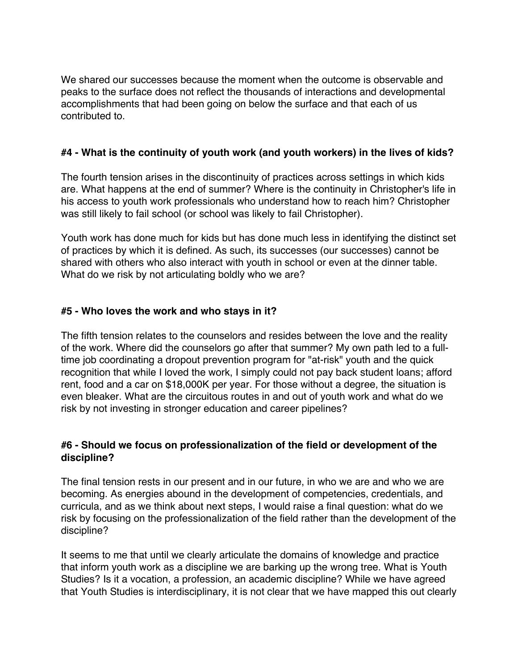We shared our successes because the moment when the outcome is observable and peaks to the surface does not reflect the thousands of interactions and developmental accomplishments that had been going on below the surface and that each of us contributed to.

## **#4 - What is the continuity of youth work (and youth workers) in the lives of kids?**

The fourth tension arises in the discontinuity of practices across settings in which kids are. What happens at the end of summer? Where is the continuity in Christopher's life in his access to youth work professionals who understand how to reach him? Christopher was still likely to fail school (or school was likely to fail Christopher).

Youth work has done much for kids but has done much less in identifying the distinct set of practices by which it is defined. As such, its successes (our successes) cannot be shared with others who also interact with youth in school or even at the dinner table. What do we risk by not articulating boldly who we are?

#### **#5 - Who loves the work and who stays in it?**

The fifth tension relates to the counselors and resides between the love and the reality of the work. Where did the counselors go after that summer? My own path led to a fulltime job coordinating a dropout prevention program for "at-risk" youth and the quick recognition that while I loved the work, I simply could not pay back student loans; afford rent, food and a car on \$18,000K per year. For those without a degree, the situation is even bleaker. What are the circuitous routes in and out of youth work and what do we risk by not investing in stronger education and career pipelines?

#### **#6 - Should we focus on professionalization of the field or development of the discipline?**

The final tension rests in our present and in our future, in who we are and who we are becoming. As energies abound in the development of competencies, credentials, and curricula, and as we think about next steps, I would raise a final question: what do we risk by focusing on the professionalization of the field rather than the development of the discipline?

It seems to me that until we clearly articulate the domains of knowledge and practice that inform youth work as a discipline we are barking up the wrong tree. What is Youth Studies? Is it a vocation, a profession, an academic discipline? While we have agreed that Youth Studies is interdisciplinary, it is not clear that we have mapped this out clearly